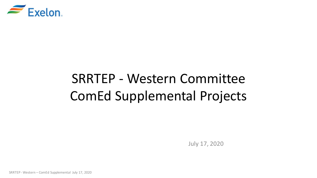

# SRRTEP - Western Committee ComEd Supplemental Projects

July 17, 2020

SRRTEP - Western – ComEd Supplemental July 17, 2020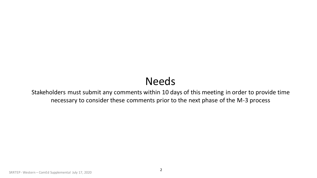## Needs

Stakeholders must submit any comments within 10 days of this meeting in order to provide time necessary to consider these comments prior to the next phase of the M-3 process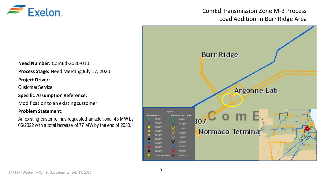

## ComEd Transmission Zone M-3 Process Load Addition in Burr Ridge Area



**Need Number:** ComEd-2020-010

**Process Stage:** Need Meeting July 17, 2020

**Project Driver:** 

Customer Service

**Specific Assumption Reference:**

Modification to an existing customer

#### **Problem Statement:**

An existing customer has requested an additional 43 MW by 06/2022 with a total increase of 77 MW by the end of 2030.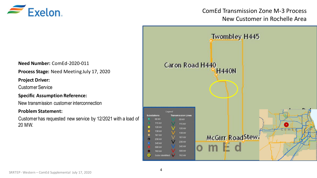

## ComEd Transmission Zone M-3 Process New Customer in Rochelle Area



**Need Number:** ComEd-2020-011

**Process Stage:** Need Meeting July 17, 2020

**Project Driver:** 

Customer Service

**Specific Assumption Reference:**

New transmission customer interconnection

#### **Problem Statement:**

Customer has requested new service by 12/2021 with a load of 20 MW.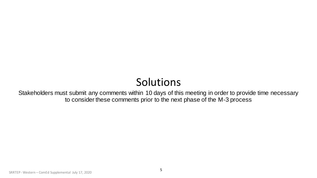## Solutions

Stakeholders must submit any comments within 10 days of this meeting in order to provide time necessary to consider these comments prior to the next phase of the M-3 process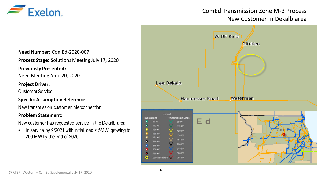

## ComEd Transmission Zone M-3 Process New Customer in Dekalb area

**Need Number:** ComEd-2020-007

**Process Stage:** Solutions Meeting July 17, 2020

#### **Previously Presented:**

Need Meeting April 20, 2020

#### **Project Driver:**

Customer Service

### **Specific Assumption Reference:**

New transmission customer interconnection

#### **Problem Statement:**

New customer has requested service in the Dekalb area

• In service by 9/2021 with initial load < 5MW, growing to 200 MW by the end of 2026

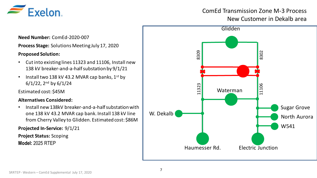

## ComEd Transmission Zone M-3 Process New Customer in Dekalb area

Waterman 11323 11106 Materman<br>Haumesser Rd. Electric Junction Sugar Grove North Aurora W541 W. Dekalb **Glidden** 

**Need Number:** ComEd-2020-007

**Process Stage:** Solutions Meeting July 17, 2020

### **Proposed Solution:**

- Cut into existing lines 11323 and 11106, Install new 138 kV breaker-and-a-half substation by 9/1/21
- Install two 138 kV 43.2 MVAR cap banks,  $1^{st}$  by  $6/1/22$ , 2<sup>nd</sup> by  $6/1/24$

Estimated cost: \$45M

#### **Alternatives Considered:**

• Install new 138kV breaker-and-a-half substation with one 138 kV 43.2 MVAR cap bank. Install 138 kV line from Cherry Valley to Glidden. Estimated cost: \$86M

**Projected In-Service:** 9/1/21

**Project Status:** Scoping

**Model:** 2025 RTEP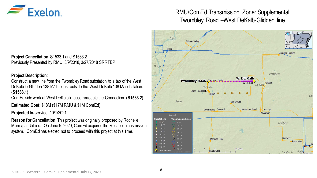

## RMU/ComEd Transmission Zone: Supplemental Twombley Road –West DeKalb-Glidden line

**Project Cancellation**: S1533.1 and S1533.2 Previously Presented by RMU: 3/9/2018, 3/27/2018 SRRTEP

#### **Project Description**:

Construct a new line from the Twombley Road substation to a tap of the West DeKalb to Glidden 138 kV line just outside the West DeKalb 138 kV substation. (**S1533.1**)

ComEd side work at West DeKalb to accommodate the Connection. (**S1533.2**)

**Estimated Cost:** \$18M (\$17M RMU & \$1M ComEd)

**Projected In-service**: 10/1/2021

**Reason for Cancellation**: This project was originally proposed by Rochelle Municipal Utilities. On June 9, 2020, ComEd acquired the Rochelle transmission system. ComEd has elected not to proceed with this project at this time.

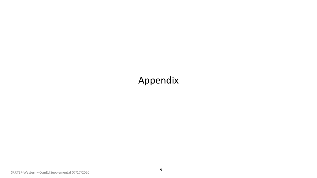## Appendix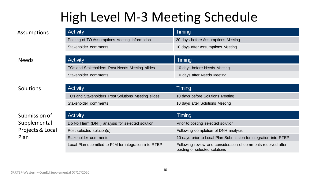# High Level M-3 Meeting Schedule

| <b>Activity</b>                               | Timing                             |
|-----------------------------------------------|------------------------------------|
| Posting of TO Assumptions Meeting information | 20 days before Assumptions Meeting |
| Stakeholder comments                          | 10 days after Assumptions Meeting  |

### Needs

### Solutions

## Submission of Supplemental Projects & Local Plan

| <b>Activity</b>                                | Timing                       |
|------------------------------------------------|------------------------------|
| TOs and Stakeholders Post Needs Meeting slides | 10 days before Needs Meeting |
| Stakeholder comments                           | 10 days after Needs Meeting  |
|                                                |                              |

| <b>Activity</b>                                    | Timing                           |
|----------------------------------------------------|----------------------------------|
| TOs and Stakeholders Post Solutions Meeting slides | 10 days before Solutions Meeting |
| Stakeholder comments                               | 10 days after Solutions Meeting  |

| <b>Activity</b>                                       | Timing                                                                                         |
|-------------------------------------------------------|------------------------------------------------------------------------------------------------|
| Do No Harm (DNH) analysis for selected solution       | Prior to posting selected solution                                                             |
| Post selected solution(s)                             | Following completion of DNH analysis                                                           |
| Stakeholder comments                                  | 10 days prior to Local Plan Submission for integration into RTEP                               |
| Local Plan submitted to PJM for integration into RTEP | Following review and consideration of comments received after<br>posting of selected solutions |